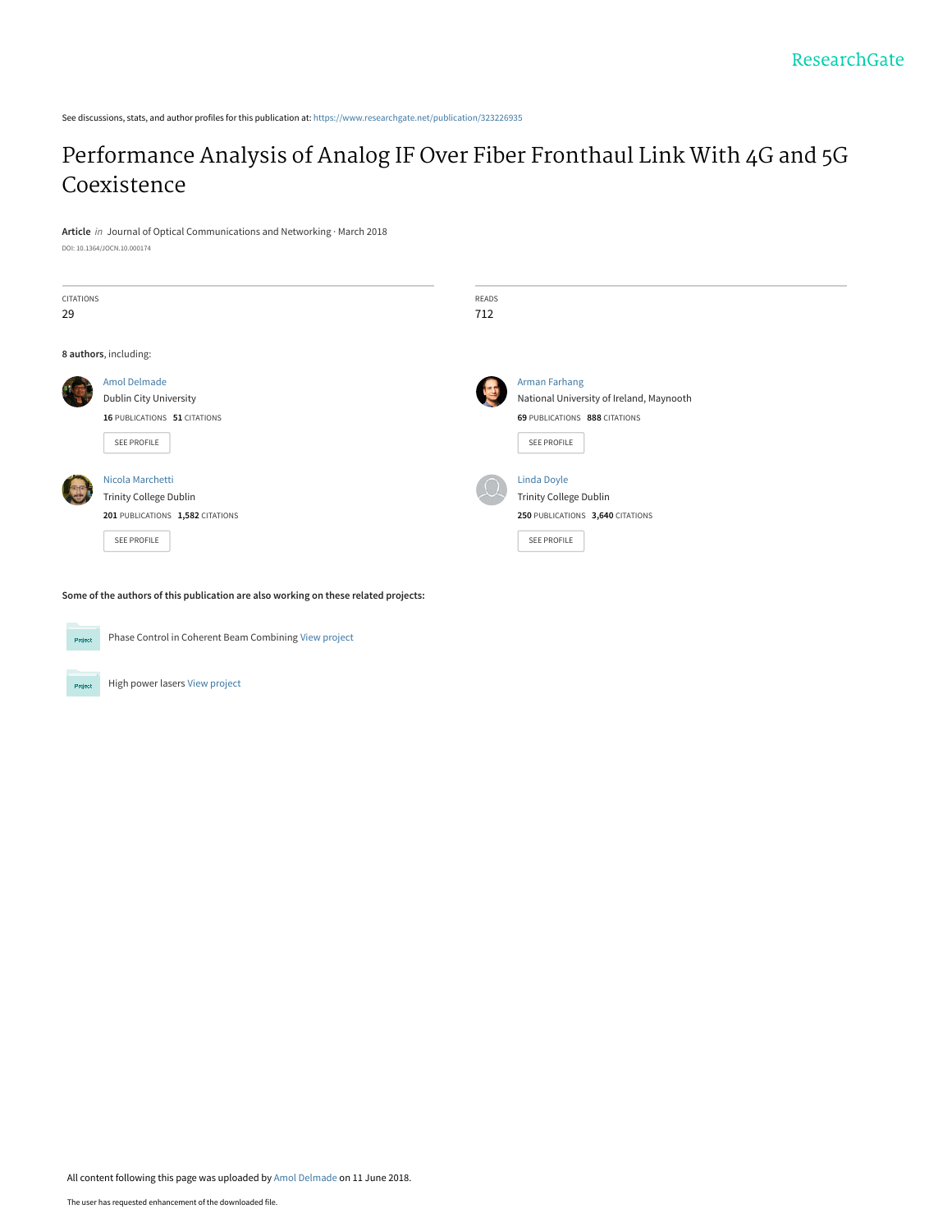See discussions, stats, and author profiles for this publication at: [https://www.researchgate.net/publication/323226935](https://www.researchgate.net/publication/323226935_Performance_Analysis_of_Analog_IF_Over_Fiber_Fronthaul_Link_With_4G_and_5G_Coexistence?enrichId=rgreq-f34d3265eabb81e11011bfa1b5fc716c-XXX&enrichSource=Y292ZXJQYWdlOzMyMzIyNjkzNTtBUzo2MzYzNzIxNjc3MDg2NzZAMTUyODczNDM1Njg4NA%3D%3D&el=1_x_2&_esc=publicationCoverPdf)

# [Performance Analysis of Analog IF Over Fiber Fronthaul Link With 4G and 5G](https://www.researchgate.net/publication/323226935_Performance_Analysis_of_Analog_IF_Over_Fiber_Fronthaul_Link_With_4G_and_5G_Coexistence?enrichId=rgreq-f34d3265eabb81e11011bfa1b5fc716c-XXX&enrichSource=Y292ZXJQYWdlOzMyMzIyNjkzNTtBUzo2MzYzNzIxNjc3MDg2NzZAMTUyODczNDM1Njg4NA%3D%3D&el=1_x_3&_esc=publicationCoverPdf) Coexistence

**Article** in Journal of Optical Communications and Networking · March 2018

DOI: 10.1364/JOCN.10.000174

| <b>CITATIONS</b><br>29 |                                                                                                      | READS<br>712 |                                                                                                                  |
|------------------------|------------------------------------------------------------------------------------------------------|--------------|------------------------------------------------------------------------------------------------------------------|
|                        | 8 authors, including:                                                                                |              |                                                                                                                  |
|                        | <b>Amol Delmade</b><br><b>Dublin City University</b><br>16 PUBLICATIONS 51 CITATIONS<br>SEE PROFILE  |              | <b>Arman Farhang</b><br>National University of Ireland, Maynooth<br>69 PUBLICATIONS 888 CITATIONS<br>SEE PROFILE |
|                        | Nicola Marchetti<br><b>Trinity College Dublin</b><br>201 PUBLICATIONS 1,582 CITATIONS<br>SEE PROFILE |              | <b>Linda Doyle</b><br><b>Trinity College Dublin</b><br>250 PUBLICATIONS 3,640 CITATIONS<br>SEE PROFILE           |

**Some of the authors of this publication are also working on these related projects:**



Phase Control in Coherent Beam Combining [View project](https://www.researchgate.net/project/Phase-Control-in-Coherent-Beam-Combining?enrichId=rgreq-f34d3265eabb81e11011bfa1b5fc716c-XXX&enrichSource=Y292ZXJQYWdlOzMyMzIyNjkzNTtBUzo2MzYzNzIxNjc3MDg2NzZAMTUyODczNDM1Njg4NA%3D%3D&el=1_x_9&_esc=publicationCoverPdf)

High power lasers [View project](https://www.researchgate.net/project/High-power-lasers-3?enrichId=rgreq-f34d3265eabb81e11011bfa1b5fc716c-XXX&enrichSource=Y292ZXJQYWdlOzMyMzIyNjkzNTtBUzo2MzYzNzIxNjc3MDg2NzZAMTUyODczNDM1Njg4NA%3D%3D&el=1_x_9&_esc=publicationCoverPdf) .<br>Project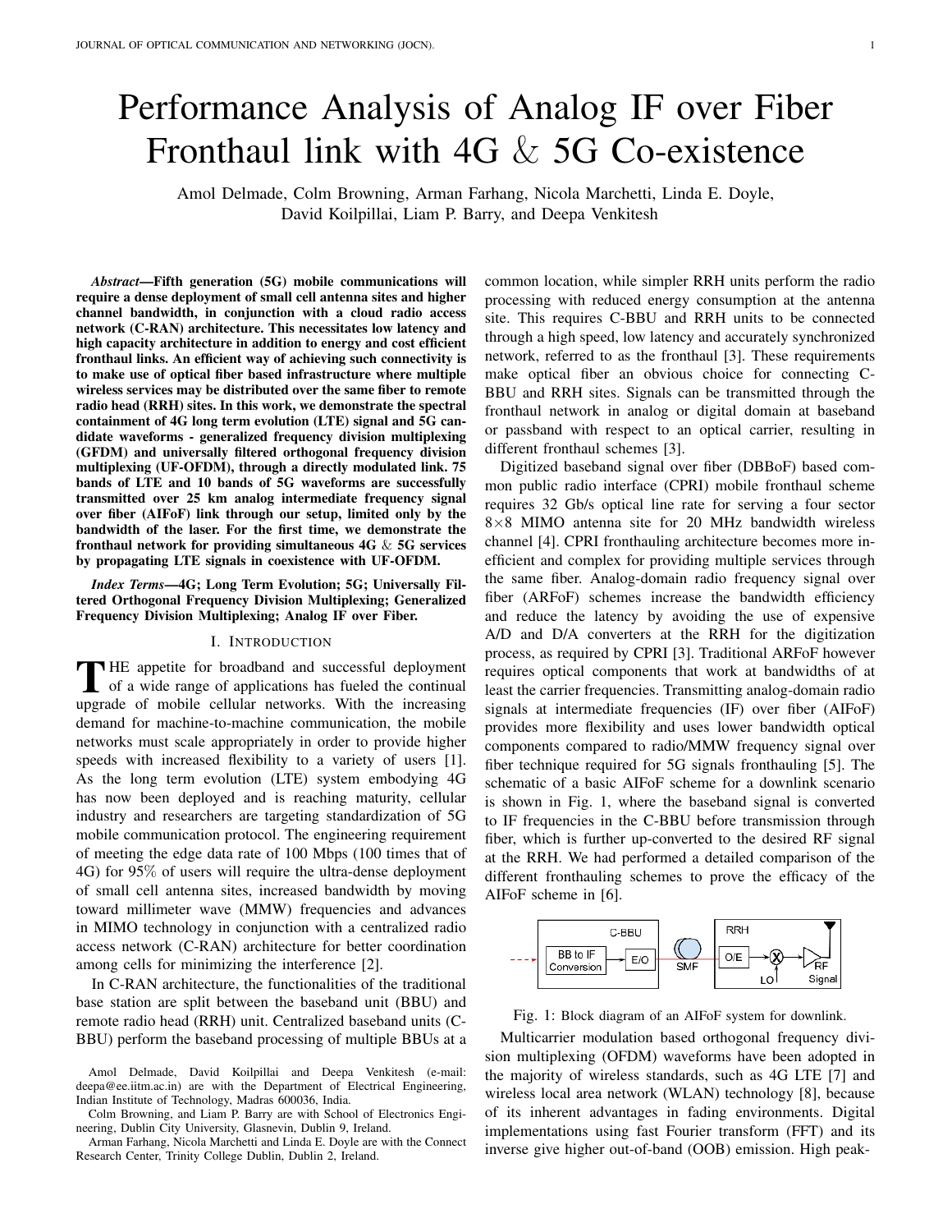# Performance Analysis of Analog IF over Fiber Fronthaul link with 4G & 5G Co-existence

Amol Delmade, Colm Browning, Arman Farhang, Nicola Marchetti, Linda E. Doyle, David Koilpillai, Liam P. Barry, and Deepa Venkitesh

*Abstract*—Fifth generation (5G) mobile communications will require a dense deployment of small cell antenna sites and higher channel bandwidth, in conjunction with a cloud radio access network (C-RAN) architecture. This necessitates low latency and high capacity architecture in addition to energy and cost efficient fronthaul links. An efficient way of achieving such connectivity is to make use of optical fiber based infrastructure where multiple wireless services may be distributed over the same fiber to remote radio head (RRH) sites. In this work, we demonstrate the spectral containment of 4G long term evolution (LTE) signal and 5G candidate waveforms - generalized frequency division multiplexing (GFDM) and universally filtered orthogonal frequency division multiplexing (UF-OFDM), through a directly modulated link. 75 bands of LTE and 10 bands of 5G waveforms are successfully transmitted over 25 km analog intermediate frequency signal over fiber (AIFoF) link through our setup, limited only by the bandwidth of the laser. For the first time, we demonstrate the fronthaul network for providing simultaneous 4G & 5G services by propagating LTE signals in coexistence with UF-OFDM.

*Index Terms*—4G; Long Term Evolution; 5G; Universally Filtered Orthogonal Frequency Division Multiplexing; Generalized Frequency Division Multiplexing; Analog IF over Fiber.

# I. INTRODUCTION

THE appetite for broadband and successful deployment<br>of a wide range of applications has fueled the continual of a wide range of applications has fueled the continual upgrade of mobile cellular networks. With the increasing demand for machine-to-machine communication, the mobile networks must scale appropriately in order to provide higher speeds with increased flexibility to a variety of users [1]. As the long term evolution (LTE) system embodying 4G has now been deployed and is reaching maturity, cellular industry and researchers are targeting standardization of 5G mobile communication protocol. The engineering requirement of meeting the edge data rate of 100 Mbps (100 times that of 4G) for 95% of users will require the ultra-dense deployment of small cell antenna sites, increased bandwidth by moving toward millimeter wave (MMW) frequencies and advances in MIMO technology in conjunction with a centralized radio access network (C-RAN) architecture for better coordination among cells for minimizing the interference [2].

In C-RAN architecture, the functionalities of the traditional base station are split between the baseband unit (BBU) and remote radio head (RRH) unit. Centralized baseband units (C-BBU) perform the baseband processing of multiple BBUs at a common location, while simpler RRH units perform the radio processing with reduced energy consumption at the antenna site. This requires C-BBU and RRH units to be connected through a high speed, low latency and accurately synchronized network, referred to as the fronthaul [3]. These requirements make optical fiber an obvious choice for connecting C-BBU and RRH sites. Signals can be transmitted through the fronthaul network in analog or digital domain at baseband or passband with respect to an optical carrier, resulting in different fronthaul schemes [3].

Digitized baseband signal over fiber (DBBoF) based common public radio interface (CPRI) mobile fronthaul scheme requires 32 Gb/s optical line rate for serving a four sector 8×8 MIMO antenna site for 20 MHz bandwidth wireless channel [4]. CPRI fronthauling architecture becomes more inefficient and complex for providing multiple services through the same fiber. Analog-domain radio frequency signal over fiber (ARFoF) schemes increase the bandwidth efficiency and reduce the latency by avoiding the use of expensive A/D and D/A converters at the RRH for the digitization process, as required by CPRI [3]. Traditional ARFoF however requires optical components that work at bandwidths of at least the carrier frequencies. Transmitting analog-domain radio signals at intermediate frequencies (IF) over fiber (AIFoF) provides more flexibility and uses lower bandwidth optical components compared to radio/MMW frequency signal over fiber technique required for 5G signals fronthauling [5]. The schematic of a basic AIFoF scheme for a downlink scenario is shown in Fig. 1, where the baseband signal is converted to IF frequencies in the C-BBU before transmission through fiber, which is further up-converted to the desired RF signal at the RRH. We had performed a detailed comparison of the different fronthauling schemes to prove the efficacy of the AIFoF scheme in [6].



Fig. 1: Block diagram of an AIFoF system for downlink.

Multicarrier modulation based orthogonal frequency division multiplexing (OFDM) waveforms have been adopted in the majority of wireless standards, such as 4G LTE [7] and wireless local area network (WLAN) technology [8], because of its inherent advantages in fading environments. Digital implementations using fast Fourier transform (FFT) and its inverse give higher out-of-band (OOB) emission. High peak-

Amol Delmade, David Koilpillai and Deepa Venkitesh (e-mail: deepa@ee.iitm.ac.in) are with the Department of Electrical Engineering, Indian Institute of Technology, Madras 600036, India.

Colm Browning, and Liam P. Barry are with School of Electronics Engineering, Dublin City University, Glasnevin, Dublin 9, Ireland.

Arman Farhang, Nicola Marchetti and Linda E. Doyle are with the Connect Research Center, Trinity College Dublin, Dublin 2, Ireland.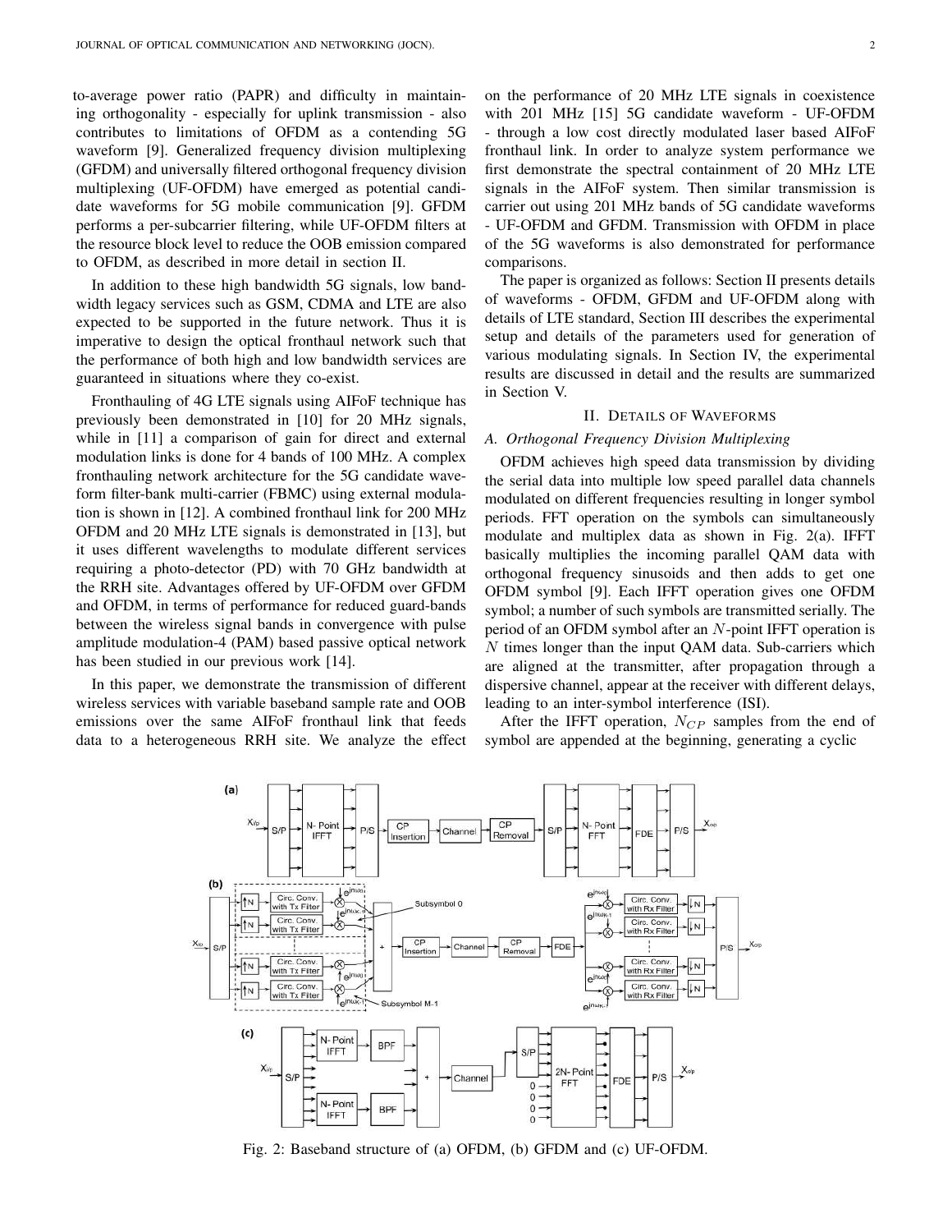to-average power ratio (PAPR) and difficulty in maintaining orthogonality - especially for uplink transmission - also contributes to limitations of OFDM as a contending 5G waveform [9]. Generalized frequency division multiplexing (GFDM) and universally filtered orthogonal frequency division multiplexing (UF-OFDM) have emerged as potential candidate waveforms for 5G mobile communication [9]. GFDM performs a per-subcarrier filtering, while UF-OFDM filters at the resource block level to reduce the OOB emission compared to OFDM, as described in more detail in section II.

In addition to these high bandwidth 5G signals, low bandwidth legacy services such as GSM, CDMA and LTE are also expected to be supported in the future network. Thus it is imperative to design the optical fronthaul network such that the performance of both high and low bandwidth services are guaranteed in situations where they co-exist.

Fronthauling of 4G LTE signals using AIFoF technique has previously been demonstrated in [10] for 20 MHz signals, while in [11] a comparison of gain for direct and external modulation links is done for 4 bands of 100 MHz. A complex fronthauling network architecture for the 5G candidate waveform filter-bank multi-carrier (FBMC) using external modulation is shown in [12]. A combined fronthaul link for 200 MHz OFDM and 20 MHz LTE signals is demonstrated in [13], but it uses different wavelengths to modulate different services requiring a photo-detector (PD) with 70 GHz bandwidth at the RRH site. Advantages offered by UF-OFDM over GFDM and OFDM, in terms of performance for reduced guard-bands between the wireless signal bands in convergence with pulse amplitude modulation-4 (PAM) based passive optical network has been studied in our previous work [14].

In this paper, we demonstrate the transmission of different wireless services with variable baseband sample rate and OOB emissions over the same AIFoF fronthaul link that feeds data to a heterogeneous RRH site. We analyze the effect on the performance of 20 MHz LTE signals in coexistence with 201 MHz [15] 5G candidate waveform - UF-OFDM - through a low cost directly modulated laser based AIFoF fronthaul link. In order to analyze system performance we first demonstrate the spectral containment of 20 MHz LTE signals in the AIFoF system. Then similar transmission is carrier out using 201 MHz bands of 5G candidate waveforms - UF-OFDM and GFDM. Transmission with OFDM in place of the 5G waveforms is also demonstrated for performance comparisons.

The paper is organized as follows: Section II presents details of waveforms - OFDM, GFDM and UF-OFDM along with details of LTE standard, Section III describes the experimental setup and details of the parameters used for generation of various modulating signals. In Section IV, the experimental results are discussed in detail and the results are summarized in Section V.

## II. DETAILS OF WAVEFORMS

#### *A. Orthogonal Frequency Division Multiplexing*

OFDM achieves high speed data transmission by dividing the serial data into multiple low speed parallel data channels modulated on different frequencies resulting in longer symbol periods. FFT operation on the symbols can simultaneously modulate and multiplex data as shown in Fig. 2(a). IFFT basically multiplies the incoming parallel QAM data with orthogonal frequency sinusoids and then adds to get one OFDM symbol [9]. Each IFFT operation gives one OFDM symbol; a number of such symbols are transmitted serially. The period of an OFDM symbol after an N-point IFFT operation is  $N$  times longer than the input QAM data. Sub-carriers which are aligned at the transmitter, after propagation through a dispersive channel, appear at the receiver with different delays, leading to an inter-symbol interference (ISI).

After the IFFT operation,  $N_{CP}$  samples from the end of symbol are appended at the beginning, generating a cyclic



Fig. 2: Baseband structure of (a) OFDM, (b) GFDM and (c) UF-OFDM.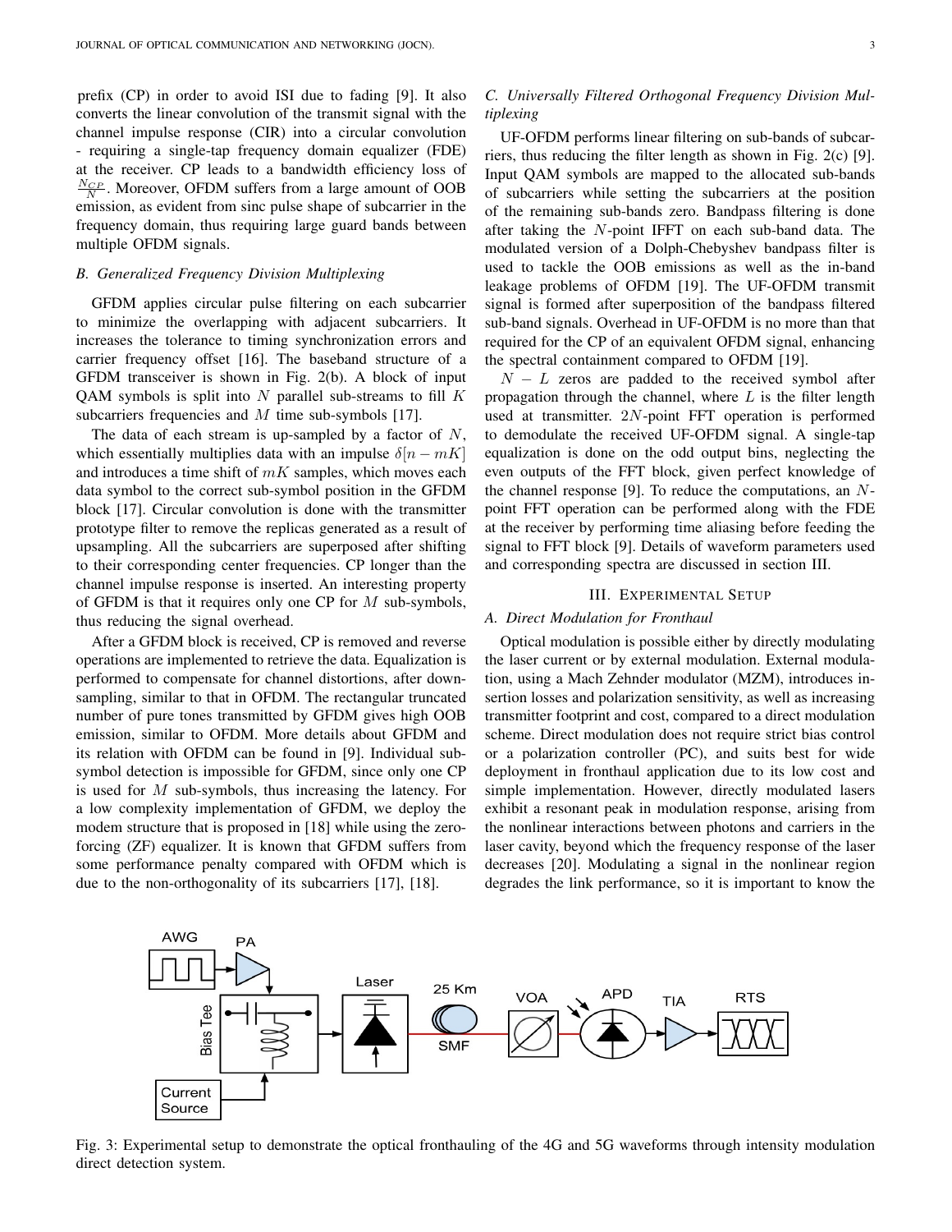prefix (CP) in order to avoid ISI due to fading [9]. It also converts the linear convolution of the transmit signal with the channel impulse response (CIR) into a circular convolution - requiring a single-tap frequency domain equalizer (FDE) at the receiver. CP leads to a bandwidth efficiency loss of  $\frac{N_{CP}}{N}$ . Moreover, OFDM suffers from a large amount of OOB emission, as evident from sinc pulse shape of subcarrier in the frequency domain, thus requiring large guard bands between multiple OFDM signals.

#### *B. Generalized Frequency Division Multiplexing*

GFDM applies circular pulse filtering on each subcarrier to minimize the overlapping with adjacent subcarriers. It increases the tolerance to timing synchronization errors and carrier frequency offset [16]. The baseband structure of a GFDM transceiver is shown in Fig. 2(b). A block of input QAM symbols is split into N parallel sub-streams to fill  $K$ subcarriers frequencies and M time sub-symbols [17].

The data of each stream is up-sampled by a factor of  $N$ , which essentially multiplies data with an impulse  $\delta[n-mK]$ and introduces a time shift of  $mK$  samples, which moves each data symbol to the correct sub-symbol position in the GFDM block [17]. Circular convolution is done with the transmitter prototype filter to remove the replicas generated as a result of upsampling. All the subcarriers are superposed after shifting to their corresponding center frequencies. CP longer than the channel impulse response is inserted. An interesting property of GFDM is that it requires only one CP for  $M$  sub-symbols, thus reducing the signal overhead.

After a GFDM block is received, CP is removed and reverse operations are implemented to retrieve the data. Equalization is performed to compensate for channel distortions, after downsampling, similar to that in OFDM. The rectangular truncated number of pure tones transmitted by GFDM gives high OOB emission, similar to OFDM. More details about GFDM and its relation with OFDM can be found in [9]. Individual subsymbol detection is impossible for GFDM, since only one CP is used for M sub-symbols, thus increasing the latency. For a low complexity implementation of GFDM, we deploy the modem structure that is proposed in [18] while using the zeroforcing (ZF) equalizer. It is known that GFDM suffers from some performance penalty compared with OFDM which is due to the non-orthogonality of its subcarriers [17], [18].

# *C. Universally Filtered Orthogonal Frequency Division Multiplexing*

UF-OFDM performs linear filtering on sub-bands of subcarriers, thus reducing the filter length as shown in Fig. 2(c) [9]. Input QAM symbols are mapped to the allocated sub-bands of subcarriers while setting the subcarriers at the position of the remaining sub-bands zero. Bandpass filtering is done after taking the N-point IFFT on each sub-band data. The modulated version of a Dolph-Chebyshev bandpass filter is used to tackle the OOB emissions as well as the in-band leakage problems of OFDM [19]. The UF-OFDM transmit signal is formed after superposition of the bandpass filtered sub-band signals. Overhead in UF-OFDM is no more than that required for the CP of an equivalent OFDM signal, enhancing the spectral containment compared to OFDM [19].

 $N - L$  zeros are padded to the received symbol after propagation through the channel, where  $L$  is the filter length used at transmitter. 2N-point FFT operation is performed to demodulate the received UF-OFDM signal. A single-tap equalization is done on the odd output bins, neglecting the even outputs of the FFT block, given perfect knowledge of the channel response [9]. To reduce the computations, an  $N$ point FFT operation can be performed along with the FDE at the receiver by performing time aliasing before feeding the signal to FFT block [9]. Details of waveform parameters used and corresponding spectra are discussed in section III.

#### III. EXPERIMENTAL SETUP

#### *A. Direct Modulation for Fronthaul*

Optical modulation is possible either by directly modulating the laser current or by external modulation. External modulation, using a Mach Zehnder modulator (MZM), introduces insertion losses and polarization sensitivity, as well as increasing transmitter footprint and cost, compared to a direct modulation scheme. Direct modulation does not require strict bias control or a polarization controller (PC), and suits best for wide deployment in fronthaul application due to its low cost and simple implementation. However, directly modulated lasers exhibit a resonant peak in modulation response, arising from the nonlinear interactions between photons and carriers in the laser cavity, beyond which the frequency response of the laser decreases [20]. Modulating a signal in the nonlinear region degrades the link performance, so it is important to know the



Fig. 3: Experimental setup to demonstrate the optical fronthauling of the 4G and 5G waveforms through intensity modulation direct detection system.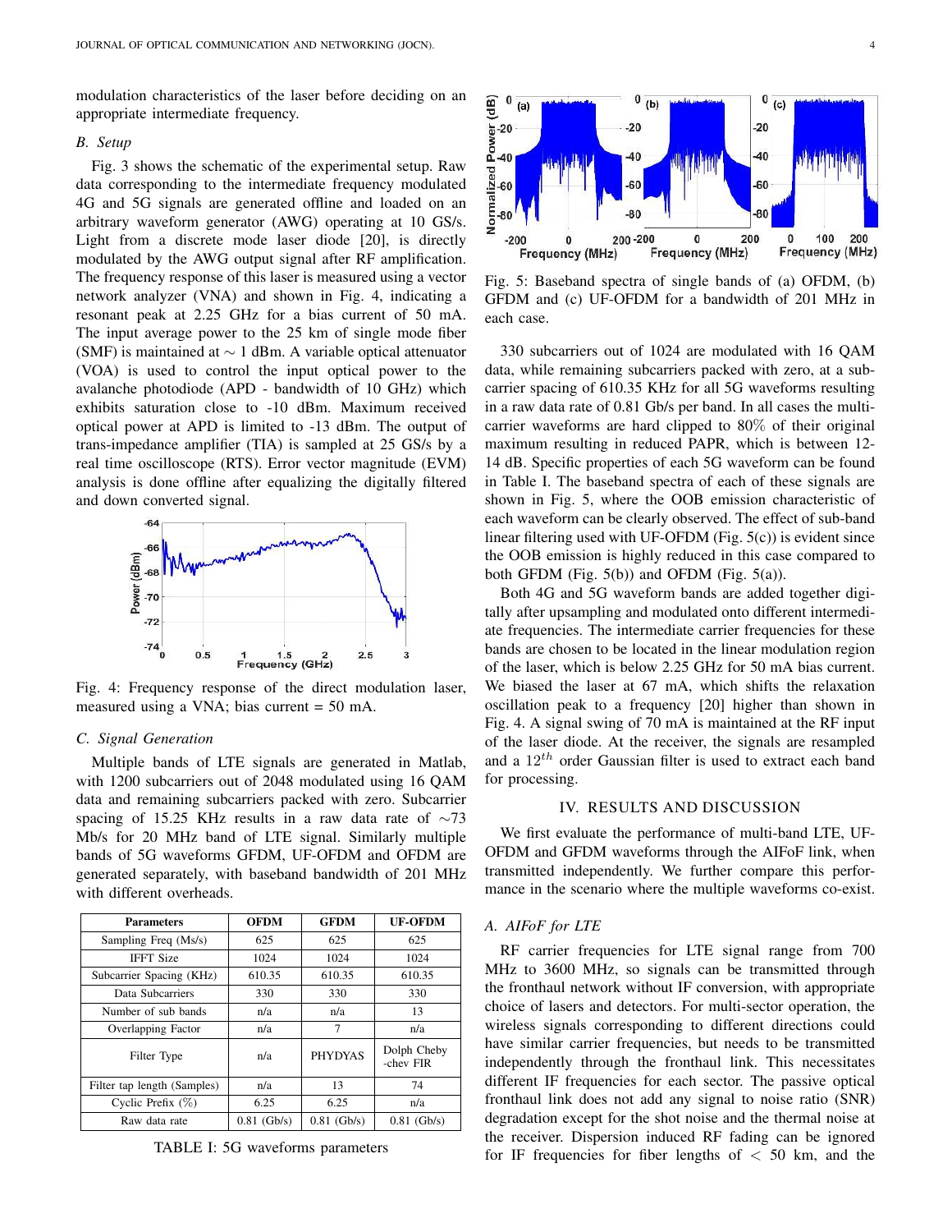modulation characteristics of the laser before deciding on an appropriate intermediate frequency.

#### *B. Setup*

Fig. 3 shows the schematic of the experimental setup. Raw data corresponding to the intermediate frequency modulated 4G and 5G signals are generated offline and loaded on an arbitrary waveform generator (AWG) operating at 10 GS/s. Light from a discrete mode laser diode [20], is directly modulated by the AWG output signal after RF amplification. The frequency response of this laser is measured using a vector network analyzer (VNA) and shown in Fig. 4, indicating a resonant peak at 2.25 GHz for a bias current of 50 mA. The input average power to the 25 km of single mode fiber (SMF) is maintained at  $\sim$  1 dBm. A variable optical attenuator (VOA) is used to control the input optical power to the avalanche photodiode (APD - bandwidth of 10 GHz) which exhibits saturation close to -10 dBm. Maximum received optical power at APD is limited to -13 dBm. The output of trans-impedance amplifier (TIA) is sampled at 25 GS/s by a real time oscilloscope (RTS). Error vector magnitude (EVM) analysis is done offline after equalizing the digitally filtered and down converted signal.



Fig. 4: Frequency response of the direct modulation laser, measured using a VNA; bias current = 50 mA.

# *C. Signal Generation*

Multiple bands of LTE signals are generated in Matlab, with 1200 subcarriers out of 2048 modulated using 16 QAM data and remaining subcarriers packed with zero. Subcarrier spacing of 15.25 KHz results in a raw data rate of ∼73 Mb/s for 20 MHz band of LTE signal. Similarly multiple bands of 5G waveforms GFDM, UF-OFDM and OFDM are generated separately, with baseband bandwidth of 201 MHz with different overheads.

| <b>Parameters</b>           | <b>OFDM</b>   | <b>GFDM</b>    | <b>UF-OFDM</b>           |
|-----------------------------|---------------|----------------|--------------------------|
| Sampling Freq (Ms/s)        | 625           | 625            | 625                      |
| <b>IFFT Size</b>            | 1024          | 1024           | 1024                     |
| Subcarrier Spacing (KHz)    | 610.35        | 610.35         | 610.35                   |
| Data Subcarriers            | 330           | 330            | 330                      |
| Number of sub bands         | n/a           | n/a            | 13                       |
| Overlapping Factor          | n/a           | 7              | n/a                      |
| Filter Type                 | n/a           | <b>PHYDYAS</b> | Dolph Cheby<br>-chev FIR |
| Filter tap length (Samples) | n/a           | 13             | 74                       |
| Cyclic Prefix $(\%)$        | 6.25          | 6.25           | n/a                      |
| Raw data rate               | $0.81$ (Gb/s) | $0.81$ (Gb/s)  | $0.81$ (Gb/s)            |

TABLE I: 5G waveforms parameters



Fig. 5: Baseband spectra of single bands of (a) OFDM, (b) GFDM and (c) UF-OFDM for a bandwidth of 201 MHz in each case.

330 subcarriers out of 1024 are modulated with 16 QAM data, while remaining subcarriers packed with zero, at a subcarrier spacing of 610.35 KHz for all 5G waveforms resulting in a raw data rate of 0.81 Gb/s per band. In all cases the multicarrier waveforms are hard clipped to 80% of their original maximum resulting in reduced PAPR, which is between 12- 14 dB. Specific properties of each 5G waveform can be found in Table I. The baseband spectra of each of these signals are shown in Fig. 5, where the OOB emission characteristic of each waveform can be clearly observed. The effect of sub-band linear filtering used with UF-OFDM (Fig. 5(c)) is evident since the OOB emission is highly reduced in this case compared to both GFDM (Fig.  $5(b)$ ) and OFDM (Fig.  $5(a)$ ).

Both 4G and 5G waveform bands are added together digitally after upsampling and modulated onto different intermediate frequencies. The intermediate carrier frequencies for these bands are chosen to be located in the linear modulation region of the laser, which is below 2.25 GHz for 50 mA bias current. We biased the laser at 67 mA, which shifts the relaxation oscillation peak to a frequency [20] higher than shown in Fig. 4. A signal swing of 70 mA is maintained at the RF input of the laser diode. At the receiver, the signals are resampled and a  $12^{th}$  order Gaussian filter is used to extract each band for processing.

#### IV. RESULTS AND DISCUSSION

We first evaluate the performance of multi-band LTE, UF-OFDM and GFDM waveforms through the AIFoF link, when transmitted independently. We further compare this performance in the scenario where the multiple waveforms co-exist.

#### *A. AIFoF for LTE*

RF carrier frequencies for LTE signal range from 700 MHz to 3600 MHz, so signals can be transmitted through the fronthaul network without IF conversion, with appropriate choice of lasers and detectors. For multi-sector operation, the wireless signals corresponding to different directions could have similar carrier frequencies, but needs to be transmitted independently through the fronthaul link. This necessitates different IF frequencies for each sector. The passive optical fronthaul link does not add any signal to noise ratio (SNR) degradation except for the shot noise and the thermal noise at the receiver. Dispersion induced RF fading can be ignored for IF frequencies for fiber lengths of  $< 50$  km, and the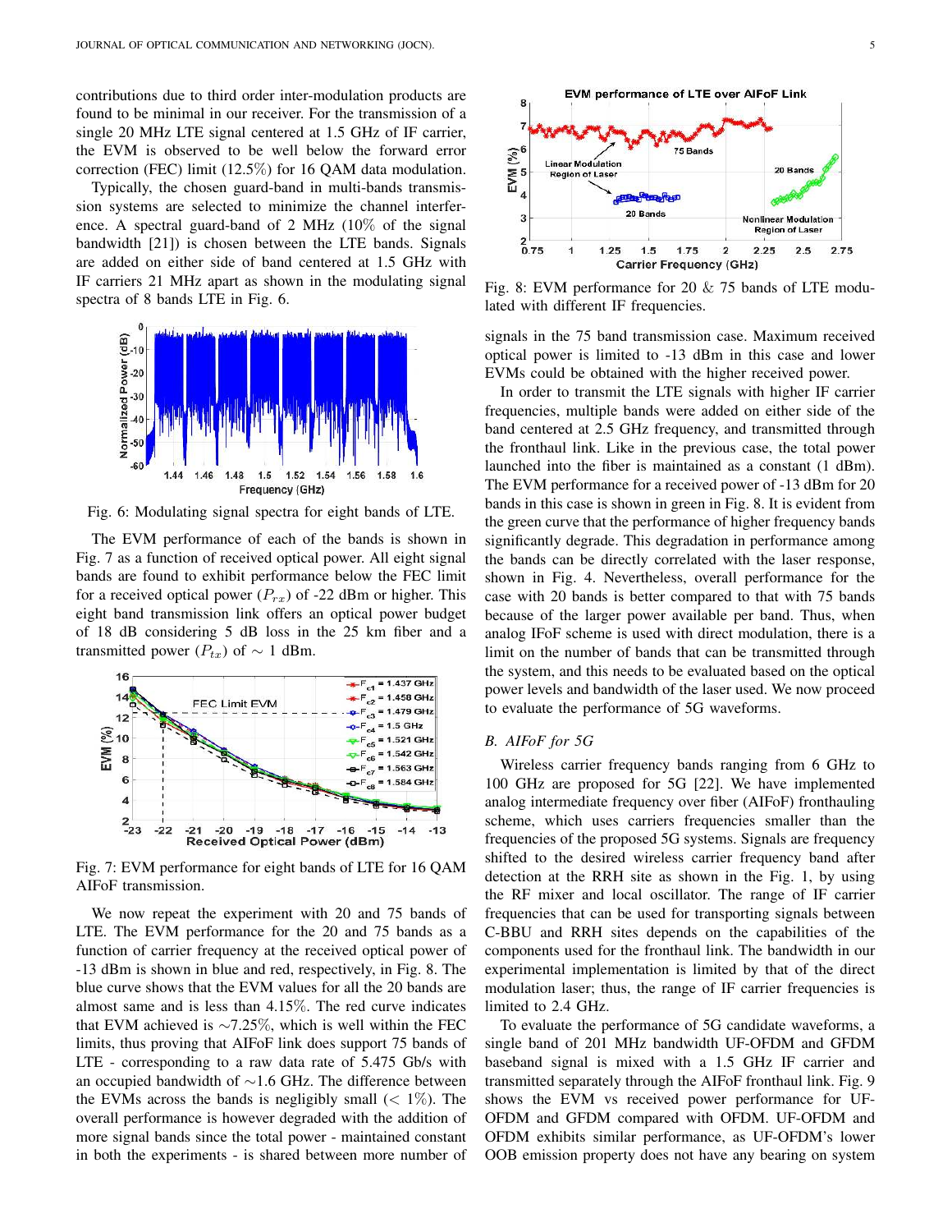contributions due to third order inter-modulation products are found to be minimal in our receiver. For the transmission of a single 20 MHz LTE signal centered at 1.5 GHz of IF carrier, the EVM is observed to be well below the forward error correction (FEC) limit (12.5%) for 16 QAM data modulation.

Typically, the chosen guard-band in multi-bands transmission systems are selected to minimize the channel interference. A spectral guard-band of 2 MHz (10% of the signal bandwidth [21]) is chosen between the LTE bands. Signals are added on either side of band centered at 1.5 GHz with IF carriers 21 MHz apart as shown in the modulating signal spectra of 8 bands LTE in Fig. 6.



Fig. 6: Modulating signal spectra for eight bands of LTE.

The EVM performance of each of the bands is shown in Fig. 7 as a function of received optical power. All eight signal bands are found to exhibit performance below the FEC limit for a received optical power  $(P_{rx})$  of -22 dBm or higher. This eight band transmission link offers an optical power budget of 18 dB considering 5 dB loss in the 25 km fiber and a transmitted power ( $P_{tx}$ ) of ~ 1 dBm.



Fig. 7: EVM performance for eight bands of LTE for 16 QAM AIFoF transmission.

We now repeat the experiment with 20 and 75 bands of LTE. The EVM performance for the 20 and 75 bands as a function of carrier frequency at the received optical power of -13 dBm is shown in blue and red, respectively, in Fig. 8. The blue curve shows that the EVM values for all the 20 bands are almost same and is less than 4.15%. The red curve indicates that EVM achieved is ∼7.25%, which is well within the FEC limits, thus proving that AIFoF link does support 75 bands of LTE - corresponding to a raw data rate of 5.475 Gb/s with an occupied bandwidth of ∼1.6 GHz. The difference between the EVMs across the bands is negligibly small  $(< 1\%)$ . The overall performance is however degraded with the addition of more signal bands since the total power - maintained constant in both the experiments - is shared between more number of



Fig. 8: EVM performance for 20 & 75 bands of LTE modulated with different IF frequencies.

signals in the 75 band transmission case. Maximum received optical power is limited to -13 dBm in this case and lower EVMs could be obtained with the higher received power.

In order to transmit the LTE signals with higher IF carrier frequencies, multiple bands were added on either side of the band centered at 2.5 GHz frequency, and transmitted through the fronthaul link. Like in the previous case, the total power launched into the fiber is maintained as a constant (1 dBm). The EVM performance for a received power of -13 dBm for 20 bands in this case is shown in green in Fig. 8. It is evident from the green curve that the performance of higher frequency bands significantly degrade. This degradation in performance among the bands can be directly correlated with the laser response, shown in Fig. 4. Nevertheless, overall performance for the case with 20 bands is better compared to that with 75 bands because of the larger power available per band. Thus, when analog IFoF scheme is used with direct modulation, there is a limit on the number of bands that can be transmitted through the system, and this needs to be evaluated based on the optical power levels and bandwidth of the laser used. We now proceed to evaluate the performance of 5G waveforms.

# *B. AIFoF for 5G*

Wireless carrier frequency bands ranging from 6 GHz to 100 GHz are proposed for 5G [22]. We have implemented analog intermediate frequency over fiber (AIFoF) fronthauling scheme, which uses carriers frequencies smaller than the frequencies of the proposed 5G systems. Signals are frequency shifted to the desired wireless carrier frequency band after detection at the RRH site as shown in the Fig. 1, by using the RF mixer and local oscillator. The range of IF carrier frequencies that can be used for transporting signals between C-BBU and RRH sites depends on the capabilities of the components used for the fronthaul link. The bandwidth in our experimental implementation is limited by that of the direct modulation laser; thus, the range of IF carrier frequencies is limited to 2.4 GHz.

To evaluate the performance of 5G candidate waveforms, a single band of 201 MHz bandwidth UF-OFDM and GFDM baseband signal is mixed with a 1.5 GHz IF carrier and transmitted separately through the AIFoF fronthaul link. Fig. 9 shows the EVM vs received power performance for UF-OFDM and GFDM compared with OFDM. UF-OFDM and OFDM exhibits similar performance, as UF-OFDM's lower OOB emission property does not have any bearing on system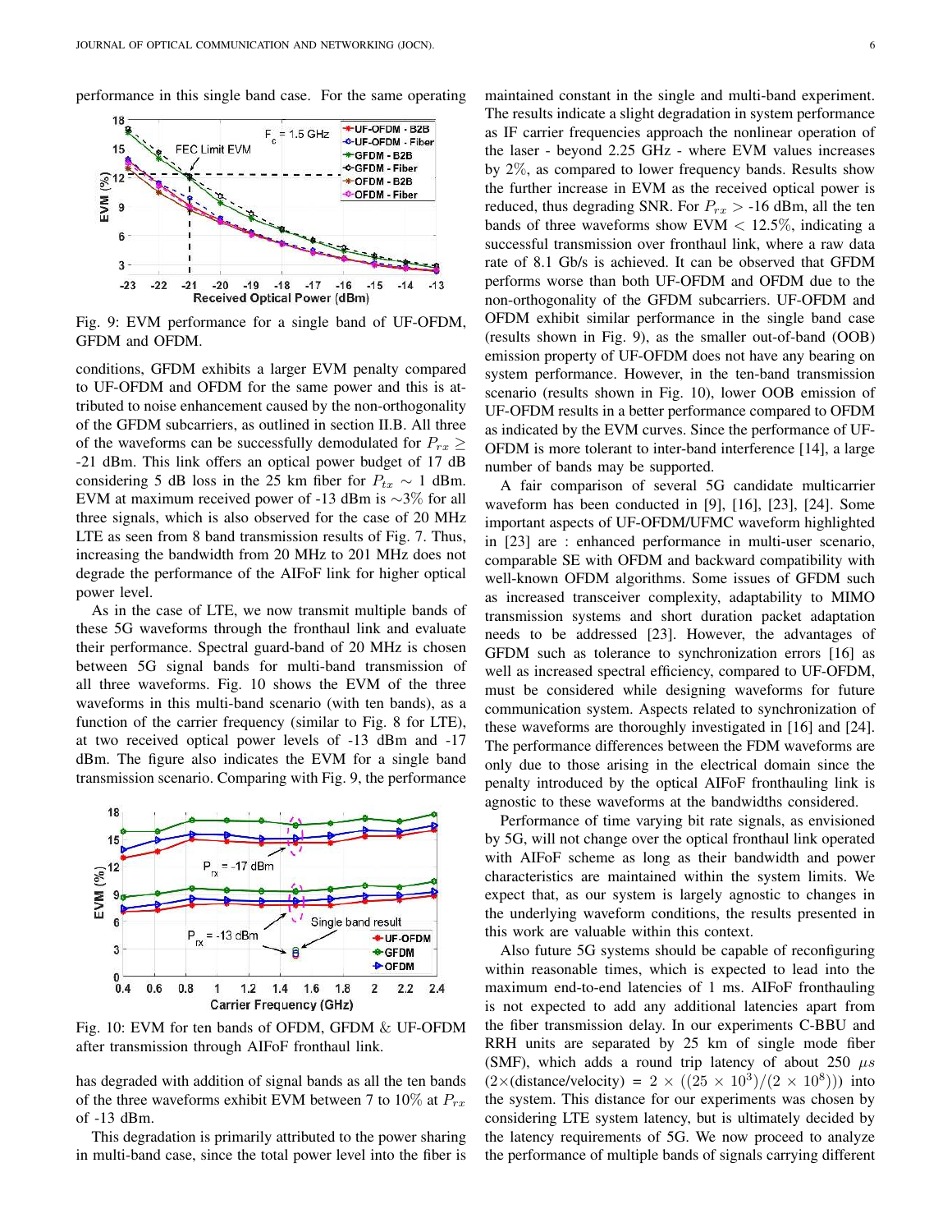



Fig. 9: EVM performance for a single band of UF-OFDM, GFDM and OFDM.

conditions, GFDM exhibits a larger EVM penalty compared to UF-OFDM and OFDM for the same power and this is attributed to noise enhancement caused by the non-orthogonality of the GFDM subcarriers, as outlined in section II.B. All three of the waveforms can be successfully demodulated for  $P_{rx} \geq$ -21 dBm. This link offers an optical power budget of 17 dB considering 5 dB loss in the 25 km fiber for  $P_{tx} \sim 1$  dBm. EVM at maximum received power of -13 dBm is ∼3% for all three signals, which is also observed for the case of 20 MHz LTE as seen from 8 band transmission results of Fig. 7. Thus, increasing the bandwidth from 20 MHz to 201 MHz does not degrade the performance of the AIFoF link for higher optical power level.

As in the case of LTE, we now transmit multiple bands of these 5G waveforms through the fronthaul link and evaluate their performance. Spectral guard-band of 20 MHz is chosen between 5G signal bands for multi-band transmission of all three waveforms. Fig. 10 shows the EVM of the three waveforms in this multi-band scenario (with ten bands), as a function of the carrier frequency (similar to Fig. 8 for LTE), at two received optical power levels of -13 dBm and -17 dBm. The figure also indicates the EVM for a single band transmission scenario. Comparing with Fig. 9, the performance



Fig. 10: EVM for ten bands of OFDM, GFDM & UF-OFDM after transmission through AIFoF fronthaul link.

has degraded with addition of signal bands as all the ten bands of the three waveforms exhibit EVM between 7 to 10% at  $P_{rx}$ of -13 dBm.

This degradation is primarily attributed to the power sharing in multi-band case, since the total power level into the fiber is maintained constant in the single and multi-band experiment. The results indicate a slight degradation in system performance as IF carrier frequencies approach the nonlinear operation of the laser - beyond 2.25 GHz - where EVM values increases by 2%, as compared to lower frequency bands. Results show the further increase in EVM as the received optical power is reduced, thus degrading SNR. For  $P_{rx} > -16$  dBm, all the ten bands of three waveforms show EVM  $< 12.5\%$ , indicating a successful transmission over fronthaul link, where a raw data rate of 8.1 Gb/s is achieved. It can be observed that GFDM performs worse than both UF-OFDM and OFDM due to the non-orthogonality of the GFDM subcarriers. UF-OFDM and OFDM exhibit similar performance in the single band case (results shown in Fig. 9), as the smaller out-of-band (OOB) emission property of UF-OFDM does not have any bearing on system performance. However, in the ten-band transmission scenario (results shown in Fig. 10), lower OOB emission of UF-OFDM results in a better performance compared to OFDM as indicated by the EVM curves. Since the performance of UF-OFDM is more tolerant to inter-band interference [14], a large number of bands may be supported.

A fair comparison of several 5G candidate multicarrier waveform has been conducted in [9], [16], [23], [24]. Some important aspects of UF-OFDM/UFMC waveform highlighted in [23] are : enhanced performance in multi-user scenario, comparable SE with OFDM and backward compatibility with well-known OFDM algorithms. Some issues of GFDM such as increased transceiver complexity, adaptability to MIMO transmission systems and short duration packet adaptation needs to be addressed [23]. However, the advantages of GFDM such as tolerance to synchronization errors [16] as well as increased spectral efficiency, compared to UF-OFDM, must be considered while designing waveforms for future communication system. Aspects related to synchronization of these waveforms are thoroughly investigated in [16] and [24]. The performance differences between the FDM waveforms are only due to those arising in the electrical domain since the penalty introduced by the optical AIFoF fronthauling link is agnostic to these waveforms at the bandwidths considered.

Performance of time varying bit rate signals, as envisioned by 5G, will not change over the optical fronthaul link operated with AIFoF scheme as long as their bandwidth and power characteristics are maintained within the system limits. We expect that, as our system is largely agnostic to changes in the underlying waveform conditions, the results presented in this work are valuable within this context.

Also future 5G systems should be capable of reconfiguring within reasonable times, which is expected to lead into the maximum end-to-end latencies of 1 ms. AIFoF fronthauling is not expected to add any additional latencies apart from the fiber transmission delay. In our experiments C-BBU and RRH units are separated by 25 km of single mode fiber (SMF), which adds a round trip latency of about 250  $\mu s$  $(2\times$ (distance/velocity) = 2  $\times$   $((25 \times 10^3)/(2 \times 10^8))$ ) into the system. This distance for our experiments was chosen by considering LTE system latency, but is ultimately decided by the latency requirements of 5G. We now proceed to analyze the performance of multiple bands of signals carrying different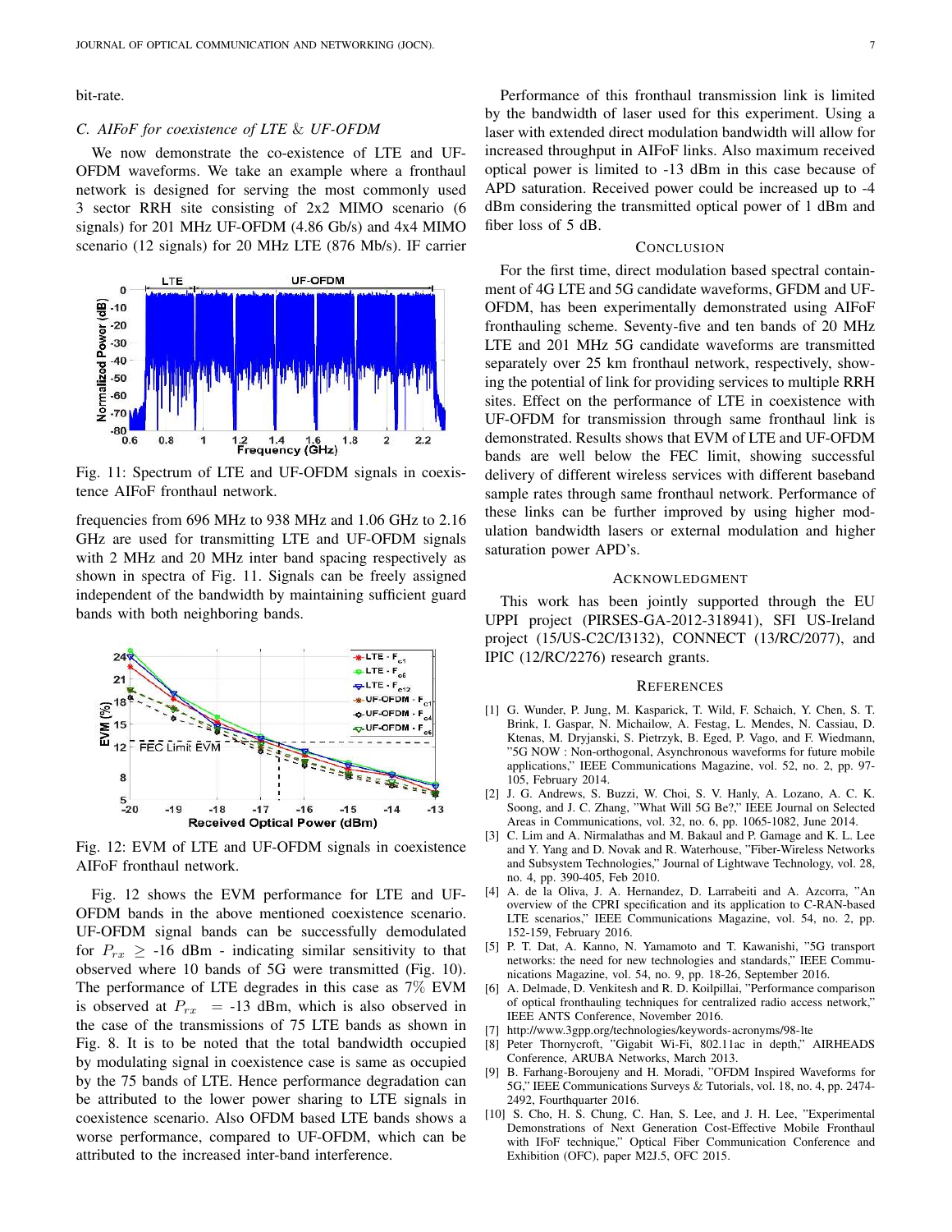bit-rate.

## *C. AIFoF for coexistence of LTE* & *UF-OFDM*

We now demonstrate the co-existence of LTE and UF-OFDM waveforms. We take an example where a fronthaul network is designed for serving the most commonly used 3 sector RRH site consisting of 2x2 MIMO scenario (6 signals) for 201 MHz UF-OFDM (4.86 Gb/s) and 4x4 MIMO scenario (12 signals) for 20 MHz LTE (876 Mb/s). IF carrier



Fig. 11: Spectrum of LTE and UF-OFDM signals in coexistence AIFoF fronthaul network.

frequencies from 696 MHz to 938 MHz and 1.06 GHz to 2.16 GHz are used for transmitting LTE and UF-OFDM signals with 2 MHz and 20 MHz inter band spacing respectively as shown in spectra of Fig. 11. Signals can be freely assigned independent of the bandwidth by maintaining sufficient guard bands with both neighboring bands.



Fig. 12: EVM of LTE and UF-OFDM signals in coexistence AIFoF fronthaul network.

Fig. 12 shows the EVM performance for LTE and UF-OFDM bands in the above mentioned coexistence scenario. UF-OFDM signal bands can be successfully demodulated for  $P_{rx} \ge -16$  dBm - indicating similar sensitivity to that observed where 10 bands of 5G were transmitted (Fig. 10). The performance of LTE degrades in this case as 7% EVM is observed at  $P_{rx}$  = -13 dBm, which is also observed in the case of the transmissions of 75 LTE bands as shown in Fig. 8. It is to be noted that the total bandwidth occupied by modulating signal in coexistence case is same as occupied by the 75 bands of LTE. Hence performance degradation can be attributed to the lower power sharing to LTE signals in coexistence scenario. Also OFDM based LTE bands shows a worse performance, compared to UF-OFDM, which can be attributed to the increased inter-band interference.

Performance of this fronthaul transmission link is limited by the bandwidth of laser used for this experiment. Using a laser with extended direct modulation bandwidth will allow for increased throughput in AIFoF links. Also maximum received optical power is limited to -13 dBm in this case because of APD saturation. Received power could be increased up to -4 dBm considering the transmitted optical power of 1 dBm and fiber loss of 5 dB.

#### **CONCLUSION**

For the first time, direct modulation based spectral containment of 4G LTE and 5G candidate waveforms, GFDM and UF-OFDM, has been experimentally demonstrated using AIFoF fronthauling scheme. Seventy-five and ten bands of 20 MHz LTE and 201 MHz 5G candidate waveforms are transmitted separately over 25 km fronthaul network, respectively, showing the potential of link for providing services to multiple RRH sites. Effect on the performance of LTE in coexistence with UF-OFDM for transmission through same fronthaul link is demonstrated. Results shows that EVM of LTE and UF-OFDM bands are well below the FEC limit, showing successful delivery of different wireless services with different baseband sample rates through same fronthaul network. Performance of these links can be further improved by using higher modulation bandwidth lasers or external modulation and higher saturation power APD's.

#### ACKNOWLEDGMENT

This work has been jointly supported through the EU UPPI project (PIRSES-GA-2012-318941), SFI US-Ireland project (15/US-C2C/I3132), CONNECT (13/RC/2077), and IPIC (12/RC/2276) research grants.

#### **REFERENCES**

- [1] G. Wunder, P. Jung, M. Kasparick, T. Wild, F. Schaich, Y. Chen, S. T. Brink, I. Gaspar, N. Michailow, A. Festag, L. Mendes, N. Cassiau, D. Ktenas, M. Dryjanski, S. Pietrzyk, B. Eged, P. Vago, and F. Wiedmann, "5G NOW : Non-orthogonal, Asynchronous waveforms for future mobile applications," IEEE Communications Magazine, vol. 52, no. 2, pp. 97- 105, February 2014.
- [2] J. G. Andrews, S. Buzzi, W. Choi, S. V. Hanly, A. Lozano, A. C. K. Soong, and J. C. Zhang, "What Will 5G Be?," IEEE Journal on Selected Areas in Communications, vol. 32, no. 6, pp. 1065-1082, June 2014.
- [3] C. Lim and A. Nirmalathas and M. Bakaul and P. Gamage and K. L. Lee and Y. Yang and D. Novak and R. Waterhouse, "Fiber-Wireless Networks and Subsystem Technologies," Journal of Lightwave Technology, vol. 28, no. 4, pp. 390-405, Feb 2010.
- [4] A. de la Oliva, J. A. Hernandez, D. Larrabeiti and A. Azcorra, "An overview of the CPRI specification and its application to C-RAN-based LTE scenarios," IEEE Communications Magazine, vol. 54, no. 2, pp. 152-159, February 2016.
- [5] P. T. Dat, A. Kanno, N. Yamamoto and T. Kawanishi, "5G transport networks: the need for new technologies and standards," IEEE Communications Magazine, vol. 54, no. 9, pp. 18-26, September 2016.
- [6] A. Delmade, D. Venkitesh and R. D. Koilpillai, "Performance comparison of optical fronthauling techniques for centralized radio access network," IEEE ANTS Conference, November 2016.
- [7] http://www.3gpp.org/technologies/keywords-acronyms/98-lte
- [8] Peter Thornycroft, "Gigabit Wi-Fi, 802.11ac in depth," AIRHEADS Conference, ARUBA Networks, March 2013.
- [9] B. Farhang-Boroujeny and H. Moradi, "OFDM Inspired Waveforms for 5G," IEEE Communications Surveys & Tutorials, vol. 18, no. 4, pp. 2474- 2492, Fourthquarter 2016.
- [10] S. Cho, H. S. Chung, C. Han, S. Lee, and J. H. Lee, "Experimental Demonstrations of Next Generation Cost-Effective Mobile Fronthaul with IFoF technique," Optical Fiber Communication Conference and Exhibition (OFC), paper M2J.5, OFC 2015.